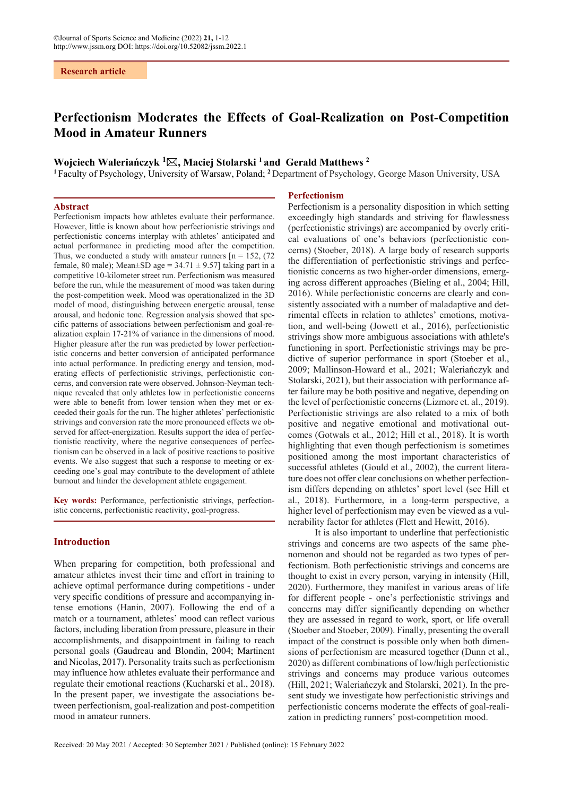# **Perfectionism Moderates the Effects of Goal-Realization on Post-Competition Mood in Amateur Runners**

# **Wojciech Waleriańczyk <sup>1</sup> , Maciej Stolarski 1 and Gerald Matthews 2**

**<sup>1</sup>** Faculty of Psychology, University of Warsaw, Poland; **<sup>2</sup>**Department of Psychology, George Mason University, USA

#### **Abstract**

Perfectionism impacts how athletes evaluate their performance. However, little is known about how perfectionistic strivings and perfectionistic concerns interplay with athletes' anticipated and actual performance in predicting mood after the competition. Thus, we conducted a study with amateur runners  $[n = 152, (72)$ female, 80 male); Mean $\pm$ SD age = 34.71  $\pm$  9.57] taking part in a competitive 10-kilometer street run. Perfectionism was measured before the run, while the measurement of mood was taken during the post-competition week. Mood was operationalized in the 3D model of mood, distinguishing between energetic arousal, tense arousal, and hedonic tone. Regression analysis showed that specific patterns of associations between perfectionism and goal-realization explain 17-21% of variance in the dimensions of mood. Higher pleasure after the run was predicted by lower perfectionistic concerns and better conversion of anticipated performance into actual performance. In predicting energy and tension, moderating effects of perfectionistic strivings, perfectionistic concerns, and conversion rate were observed. Johnson-Neyman technique revealed that only athletes low in perfectionistic concerns were able to benefit from lower tension when they met or exceeded their goals for the run. The higher athletes' perfectionistic strivings and conversion rate the more pronounced effects we observed for affect-energization. Results support the idea of perfectionistic reactivity, where the negative consequences of perfectionism can be observed in a lack of positive reactions to positive events. We also suggest that such a response to meeting or exceeding one's goal may contribute to the development of athlete burnout and hinder the development athlete engagement.

**Key words:** Performance, perfectionistic strivings, perfectionistic concerns, perfectionistic reactivity, goal-progress.

# **Introduction**

When preparing for competition, both professional and amateur athletes invest their time and effort in training to achieve optimal performance during competitions - under very specific conditions of pressure and accompanying intense emotions (Hanin, 2007). Following the end of a match or a tournament, athletes' mood can reflect various factors, including liberation from pressure, pleasure in their accomplishments, and disappointment in failing to reach personal goals (Gaudreau and Blondin, 2004; Martinent and Nicolas, 2017). Personality traits such as perfectionism may influence how athletes evaluate their performance and regulate their emotional reactions (Kucharski et al., 2018). In the present paper, we investigate the associations between perfectionism, goal-realization and post-competition mood in amateur runners.

#### **Perfectionism**

Perfectionism is a personality disposition in which setting exceedingly high standards and striving for flawlessness (perfectionistic strivings) are accompanied by overly critical evaluations of one's behaviors (perfectionistic concerns) (Stoeber, 2018). A large body of research supports the differentiation of perfectionistic strivings and perfectionistic concerns as two higher-order dimensions, emerging across different approaches (Bieling et al., 2004; Hill, 2016). While perfectionistic concerns are clearly and consistently associated with a number of maladaptive and detrimental effects in relation to athletes' emotions, motivation, and well-being (Jowett et al., 2016), perfectionistic strivings show more ambiguous associations with athlete's functioning in sport. Perfectionistic strivings may be predictive of superior performance in sport (Stoeber et al., 2009; Mallinson-Howard et al., 2021; Waleriańczyk and Stolarski, 2021), but their association with performance after failure may be both positive and negative, depending on the level of perfectionistic concerns (Lizmore et. al., 2019). Perfectionistic strivings are also related to a mix of both positive and negative emotional and motivational outcomes (Gotwals et al., 2012; Hill et al., 2018). It is worth highlighting that even though perfectionism is sometimes positioned among the most important characteristics of successful athletes (Gould et al., 2002), the current literature does not offer clear conclusions on whether perfectionism differs depending on athletes' sport level (see Hill et al., 2018). Furthermore, in a long-term perspective, a higher level of perfectionism may even be viewed as a vulnerability factor for athletes (Flett and Hewitt, 2016).

It is also important to underline that perfectionistic strivings and concerns are two aspects of the same phenomenon and should not be regarded as two types of perfectionism. Both perfectionistic strivings and concerns are thought to exist in every person, varying in intensity (Hill, 2020). Furthermore, they manifest in various areas of life for different people - one's perfectionistic strivings and concerns may differ significantly depending on whether they are assessed in regard to work, sport, or life overall (Stoeber and Stoeber, 2009). Finally, presenting the overall impact of the construct is possible only when both dimensions of perfectionism are measured together (Dunn et al., 2020) as different combinations of low/high perfectionistic strivings and concerns may produce various outcomes (Hill, 2021; Waleriańczyk and Stolarski, 2021). In the present study we investigate how perfectionistic strivings and perfectionistic concerns moderate the effects of goal-realization in predicting runners' post-competition mood.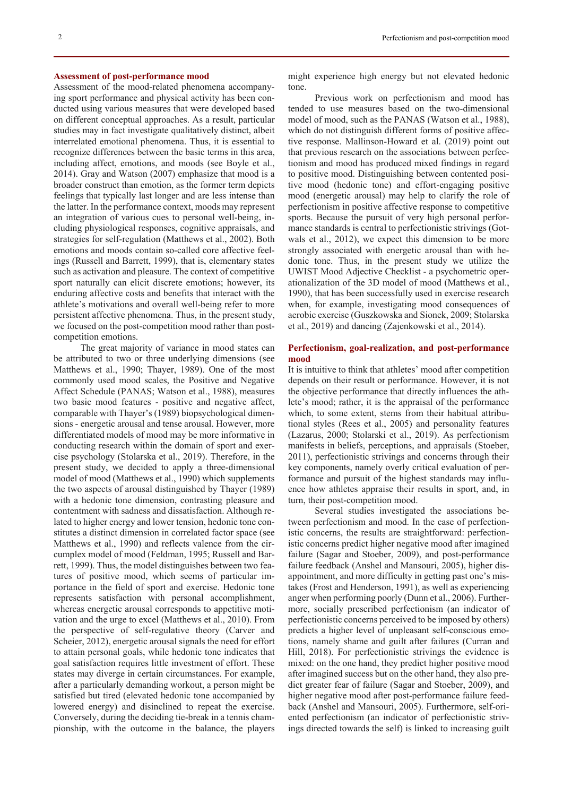#### **Assessment of post-performance mood**

Assessment of the mood-related phenomena accompanying sport performance and physical activity has been conducted using various measures that were developed based on different conceptual approaches. As a result, particular studies may in fact investigate qualitatively distinct, albeit interrelated emotional phenomena. Thus, it is essential to recognize differences between the basic terms in this area, including affect, emotions, and moods (see Boyle et al., 2014). Gray and Watson (2007) emphasize that mood is a broader construct than emotion, as the former term depicts feelings that typically last longer and are less intense than the latter. In the performance context, moods may represent an integration of various cues to personal well-being, including physiological responses, cognitive appraisals, and strategies for self-regulation (Matthews et al., 2002). Both emotions and moods contain so-called core affective feelings (Russell and Barrett, 1999), that is, elementary states such as activation and pleasure. The context of competitive sport naturally can elicit discrete emotions; however, its enduring affective costs and benefits that interact with the athlete's motivations and overall well-being refer to more persistent affective phenomena. Thus, in the present study, we focused on the post-competition mood rather than postcompetition emotions.

The great majority of variance in mood states can be attributed to two or three underlying dimensions (see Matthews et al., 1990; Thayer, 1989). One of the most commonly used mood scales, the Positive and Negative Affect Schedule (PANAS; Watson et al., 1988), measures two basic mood features - positive and negative affect, comparable with Thayer's (1989) biopsychological dimensions - energetic arousal and tense arousal. However, more differentiated models of mood may be more informative in conducting research within the domain of sport and exercise psychology (Stolarska et al., 2019). Therefore, in the present study, we decided to apply a three-dimensional model of mood (Matthews et al., 1990) which supplements the two aspects of arousal distinguished by Thayer (1989) with a hedonic tone dimension, contrasting pleasure and contentment with sadness and dissatisfaction. Although related to higher energy and lower tension, hedonic tone constitutes a distinct dimension in correlated factor space (see Matthews et al., 1990) and reflects valence from the circumplex model of mood (Feldman, 1995; Russell and Barrett, 1999). Thus, the model distinguishes between two features of positive mood, which seems of particular importance in the field of sport and exercise. Hedonic tone represents satisfaction with personal accomplishment, whereas energetic arousal corresponds to appetitive motivation and the urge to excel (Matthews et al., 2010). From the perspective of self-regulative theory (Carver and Scheier, 2012), energetic arousal signals the need for effort to attain personal goals, while hedonic tone indicates that goal satisfaction requires little investment of effort. These states may diverge in certain circumstances. For example, after a particularly demanding workout, a person might be satisfied but tired (elevated hedonic tone accompanied by lowered energy) and disinclined to repeat the exercise. Conversely, during the deciding tie-break in a tennis championship, with the outcome in the balance, the players

might experience high energy but not elevated hedonic tone.

Previous work on perfectionism and mood has tended to use measures based on the two-dimensional model of mood, such as the PANAS (Watson et al., 1988), which do not distinguish different forms of positive affective response. Mallinson-Howard et al. (2019) point out that previous research on the associations between perfectionism and mood has produced mixed findings in regard to positive mood. Distinguishing between contented positive mood (hedonic tone) and effort-engaging positive mood (energetic arousal) may help to clarify the role of perfectionism in positive affective response to competitive sports. Because the pursuit of very high personal performance standards is central to perfectionistic strivings (Gotwals et al., 2012), we expect this dimension to be more strongly associated with energetic arousal than with hedonic tone. Thus, in the present study we utilize the UWIST Mood Adjective Checklist - a psychometric operationalization of the 3D model of mood (Matthews et al., 1990), that has been successfully used in exercise research when, for example, investigating mood consequences of aerobic exercise (Guszkowska and Sionek, 2009; Stolarska et al., 2019) and dancing (Zajenkowski et al., 2014).

# **Perfectionism, goal-realization, and post-performance mood**

It is intuitive to think that athletes' mood after competition depends on their result or performance. However, it is not the objective performance that directly influences the athlete's mood; rather, it is the appraisal of the performance which, to some extent, stems from their habitual attributional styles (Rees et al., 2005) and personality features (Lazarus, 2000; Stolarski et al., 2019). As perfectionism manifests in beliefs, perceptions, and appraisals (Stoeber, 2011), perfectionistic strivings and concerns through their key components, namely overly critical evaluation of performance and pursuit of the highest standards may influence how athletes appraise their results in sport, and, in turn, their post-competition mood.

Several studies investigated the associations between perfectionism and mood. In the case of perfectionistic concerns, the results are straightforward: perfectionistic concerns predict higher negative mood after imagined failure (Sagar and Stoeber, 2009), and post-performance failure feedback (Anshel and Mansouri, 2005), higher disappointment, and more difficulty in getting past one's mistakes (Frost and Henderson, 1991), as well as experiencing anger when performing poorly (Dunn et al., 2006). Furthermore, socially prescribed perfectionism (an indicator of perfectionistic concerns perceived to be imposed by others) predicts a higher level of unpleasant self-conscious emotions, namely shame and guilt after failures (Curran and Hill, 2018). For perfectionistic strivings the evidence is mixed: on the one hand, they predict higher positive mood after imagined success but on the other hand, they also predict greater fear of failure (Sagar and Stoeber, 2009), and higher negative mood after post-performance failure feedback (Anshel and Mansouri, 2005). Furthermore, self-oriented perfectionism (an indicator of perfectionistic strivings directed towards the self) is linked to increasing guilt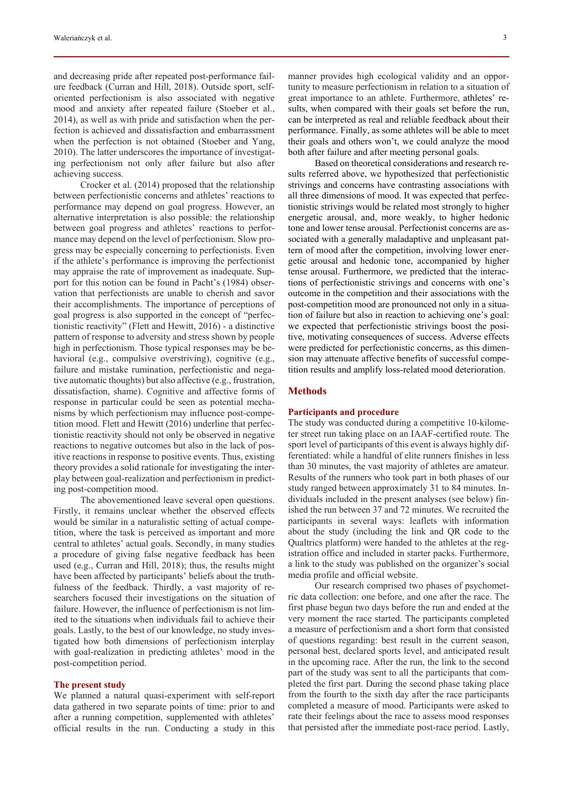and decreasing pride after repeated post-performance failure feedback (Curran and Hill, 2018). Outside sport, selforiented perfectionism is also associated with negative mood and anxiety after repeated failure (Stoeber et al., 2014), as well as with pride and satisfaction when the perfection is achieved and dissatisfaction and embarrassment when the perfection is not obtained (Stoeber and Yang, 2010). The latter underscores the importance of investigating perfectionism not only after failure but also after achieving success.

Crocker et al. (2014) proposed that the relationship between perfectionistic concerns and athletes' reactions to performance may depend on goal progress. However, an alternative interpretation is also possible: the relationship between goal progress and athletes' reactions to performance may depend on the level of perfectionism. Slow progress may be especially concerning to perfectionists. Even if the athlete's performance is improving the perfectionist may appraise the rate of improvement as inadequate. Support for this notion can be found in Pacht's (1984) observation that perfectionists are unable to cherish and savor their accomplishments. The importance of perceptions of goal progress is also supported in the concept of "perfectionistic reactivity" (Flett and Hewitt, 2016) - a distinctive pattern of response to adversity and stress shown by people high in perfectionism. Those typical responses may be behavioral (e.g., compulsive overstriving), cognitive (e.g., failure and mistake rumination, perfectionistic and negative automatic thoughts) but also affective (e.g., frustration, dissatisfaction, shame). Cognitive and affective forms of response in particular could be seen as potential mechanisms by which perfectionism may influence post-competition mood. Flett and Hewitt (2016) underline that perfectionistic reactivity should not only be observed in negative reactions to negative outcomes but also in the lack of positive reactions in response to positive events. Thus, existing theory provides a solid rationale for investigating the interplay between goal-realization and perfectionism in predicting post-competition mood.

The abovementioned leave several open questions. Firstly, it remains unclear whether the observed effects would be similar in a naturalistic setting of actual competition, where the task is perceived as important and more central to athletes' actual goals. Secondly, in many studies a procedure of giving false negative feedback has been used (e.g., Curran and Hill, 2018); thus, the results might have been affected by participants' beliefs about the truthfulness of the feedback. Thirdly, a vast majority of researchers focused their investigations on the situation of failure. However, the influence of perfectionism is not limited to the situations when individuals fail to achieve their goals. Lastly, to the best of our knowledge, no study investigated how both dimensions of perfectionism interplay with goal-realization in predicting athletes' mood in the post-competition period.

#### **The present study**

We planned a natural quasi-experiment with self-report data gathered in two separate points of time: prior to and after a running competition, supplemented with athletes' official results in the run. Conducting a study in this manner provides high ecological validity and an opportunity to measure perfectionism in relation to a situation of great importance to an athlete. Furthermore, athletes' results, when compared with their goals set before the run, can be interpreted as real and reliable feedback about their performance. Finally, as some athletes will be able to meet their goals and others won't, we could analyze the mood both after failure and after meeting personal goals.

Based on theoretical considerations and research results referred above, we hypothesized that perfectionistic strivings and concerns have contrasting associations with all three dimensions of mood. It was expected that perfectionistic strivings would be related most strongly to higher energetic arousal, and, more weakly, to higher hedonic tone and lower tense arousal. Perfectionist concerns are associated with a generally maladaptive and unpleasant pattern of mood after the competition, involving lower energetic arousal and hedonic tone, accompanied by higher tense arousal. Furthermore, we predicted that the interactions of perfectionistic strivings and concerns with one's outcome in the competition and their associations with the post-competition mood are pronounced not only in a situation of failure but also in reaction to achieving one's goal: we expected that perfectionistic strivings boost the positive, motivating consequences of success. Adverse effects were predicted for perfectionistic concerns, as this dimension may attenuate affective benefits of successful competition results and amplify loss-related mood deterioration.

# **Methods**

# **Participants and procedure**

The study was conducted during a competitive 10-kilometer street run taking place on an IAAF-certified route. The sport level of participants of this event is always highly differentiated: while a handful of elite runners finishes in less than 30 minutes, the vast majority of athletes are amateur. Results of the runners who took part in both phases of our study ranged between approximately 31 to 84 minutes. Individuals included in the present analyses (see below) finished the run between 37 and 72 minutes. We recruited the participants in several ways: leaflets with information about the study (including the link and QR code to the Qualtrics platform) were handed to the athletes at the registration office and included in starter packs. Furthermore, a link to the study was published on the organizer's social media profile and official website.

Our research comprised two phases of psychometric data collection: one before, and one after the race. The first phase begun two days before the run and ended at the very moment the race started. The participants completed a measure of perfectionism and a short form that consisted of questions regarding: best result in the current season, personal best, declared sports level, and anticipated result in the upcoming race. After the run, the link to the second part of the study was sent to all the participants that completed the first part. During the second phase taking place from the fourth to the sixth day after the race participants completed a measure of mood. Participants were asked to rate their feelings about the race to assess mood responses that persisted after the immediate post-race period. Lastly,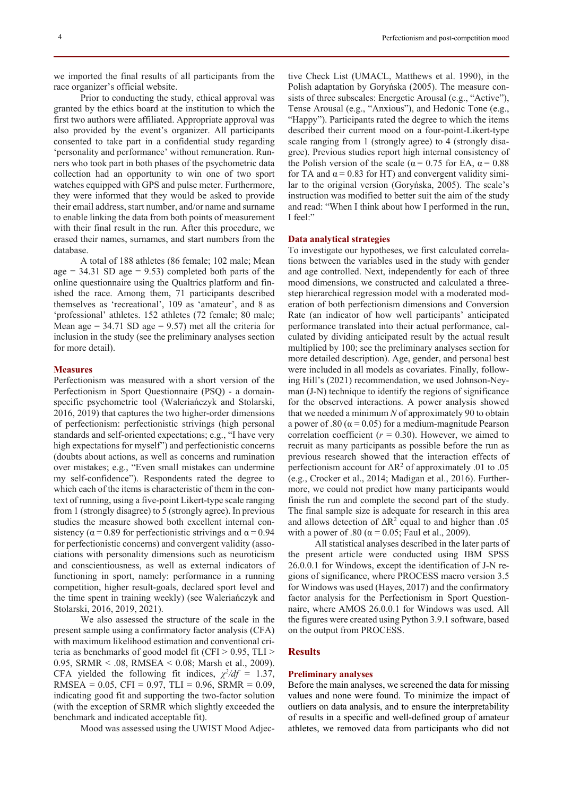Prior to conducting the study, ethical approval was granted by the ethics board at the institution to which the first two authors were affiliated. Appropriate approval was also provided by the event's organizer. All participants consented to take part in a confidential study regarding 'personality and performance' without remuneration. Runners who took part in both phases of the psychometric data collection had an opportunity to win one of two sport watches equipped with GPS and pulse meter. Furthermore, they were informed that they would be asked to provide their email address, start number, and/or name and surname to enable linking the data from both points of measurement with their final result in the run. After this procedure, we erased their names, surnames, and start numbers from the database.

A total of 188 athletes (86 female; 102 male; Mean age  $= 34.31$  SD age  $= 9.53$ ) completed both parts of the online questionnaire using the Qualtrics platform and finished the race. Among them, 71 participants described themselves as 'recreational', 109 as 'amateur', and 8 as 'professional' athletes. 152 athletes (72 female; 80 male; Mean age  $= 34.71$  SD age  $= 9.57$ ) met all the criteria for inclusion in the study (see the preliminary analyses section for more detail).

### **Measures**

Perfectionism was measured with a short version of the Perfectionism in Sport Questionnaire (PSQ) - a domainspecific psychometric tool (Waleriańczyk and Stolarski, 2016, 2019) that captures the two higher-order dimensions of perfectionism: perfectionistic strivings (high personal standards and self-oriented expectations; e.g., "I have very high expectations for myself") and perfectionistic concerns (doubts about actions, as well as concerns and rumination over mistakes; e.g., "Even small mistakes can undermine my self-confidence"). Respondents rated the degree to which each of the items is characteristic of them in the context of running, using a five-point Likert-type scale ranging from 1 (strongly disagree) to 5 (strongly agree). In previous studies the measure showed both excellent internal consistency ( $\alpha$ =0.89 for perfectionistic strivings and  $\alpha$ =0.94 for perfectionistic concerns) and convergent validity (associations with personality dimensions such as neuroticism and conscientiousness, as well as external indicators of functioning in sport, namely: performance in a running competition, higher result-goals, declared sport level and the time spent in training weekly) (see Waleriańczyk and Stolarski, 2016, 2019, 2021).

We also assessed the structure of the scale in the present sample using a confirmatory factor analysis (CFA) with maximum likelihood estimation and conventional criteria as benchmarks of good model fit (CFI > 0.95, TLI > 0.95, SRMR < .08, RMSEA < 0.08; Marsh et al., 2009). CFA yielded the following fit indices,  $\chi^2/df = 1.37$ , RMSEA =  $0.05$ , CFI =  $0.97$ , TLI =  $0.96$ , SRMR =  $0.09$ , indicating good fit and supporting the two-factor solution (with the exception of SRMR which slightly exceeded the benchmark and indicated acceptable fit).

Mood was assessed using the UWIST Mood Adjec-

tive Check List (UMACL, Matthews et al. 1990), in the Polish adaptation by Goryńska (2005). The measure consists of three subscales: Energetic Arousal (e.g., "Active"), Tense Arousal (e.g., "Anxious"), and Hedonic Tone (e.g., "Happy"). Participants rated the degree to which the items described their current mood on a four-point-Likert-type scale ranging from 1 (strongly agree) to 4 (strongly disagree). Previous studies report high internal consistency of the Polish version of the scale ( $\alpha$  = 0.75 for EA,  $\alpha$  = 0.88 for TA and  $\alpha = 0.83$  for HT) and convergent validity similar to the original version (Goryńska, 2005). The scale's instruction was modified to better suit the aim of the study and read: "When I think about how I performed in the run, I feel:"

## **Data analytical strategies**

To investigate our hypotheses, we first calculated correlations between the variables used in the study with gender and age controlled. Next, independently for each of three mood dimensions, we constructed and calculated a threestep hierarchical regression model with a moderated moderation of both perfectionism dimensions and Conversion Rate (an indicator of how well participants' anticipated performance translated into their actual performance, calculated by dividing anticipated result by the actual result multiplied by 100; see the preliminary analyses section for more detailed description). Age, gender, and personal best were included in all models as covariates. Finally, following Hill's (2021) recommendation, we used Johnson-Neyman (J-N) technique to identify the regions of significance for the observed interactions. A power analysis showed that we needed a minimum *N* of approximately 90 to obtain a power of .80 ( $\alpha$  = 0.05) for a medium-magnitude Pearson correlation coefficient  $(r = 0.30)$ . However, we aimed to recruit as many participants as possible before the run as previous research showed that the interaction effects of perfectionism account for  $\Delta R^2$  of approximately .01 to .05 (e.g., Crocker et al., 2014; Madigan et al., 2016). Furthermore, we could not predict how many participants would finish the run and complete the second part of the study. The final sample size is adequate for research in this area and allows detection of  $\Delta R^2$  equal to and higher than .05 with a power of .80 ( $\alpha$  = 0.05; Faul et al., 2009).

All statistical analyses described in the later parts of the present article were conducted using IBM SPSS 26.0.0.1 for Windows, except the identification of J-N regions of significance, where PROCESS macro version 3.5 for Windows was used (Hayes, 2017) and the confirmatory factor analysis for the Perfectionism in Sport Questionnaire, where AMOS 26.0.0.1 for Windows was used. All the figures were created using Python 3.9.1 software, based on the output from PROCESS.

#### **Results**

#### **Preliminary analyses**

Before the main analyses, we screened the data for missing values and none were found. To minimize the impact of outliers on data analysis, and to ensure the interpretability of results in a specific and well-defined group of amateur athletes, we removed data from participants who did not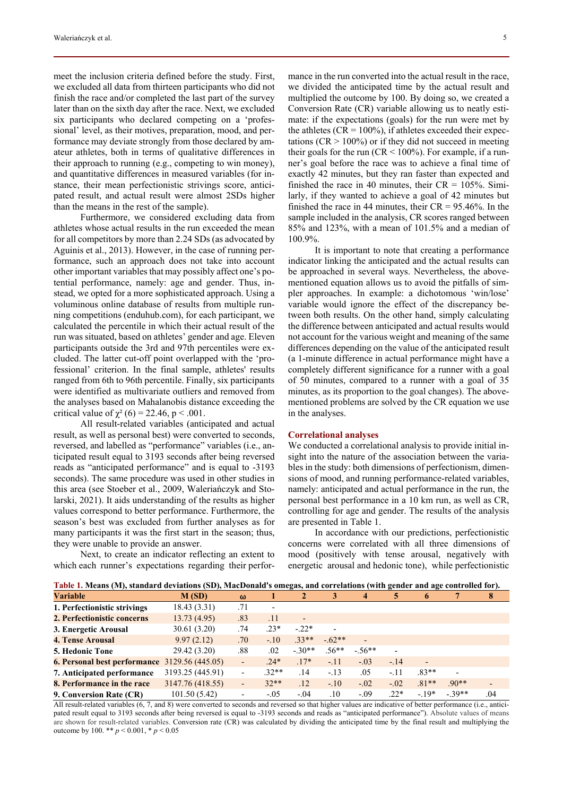meet the inclusion criteria defined before the study. First, we excluded all data from thirteen participants who did not finish the race and/or completed the last part of the survey later than on the sixth day after the race. Next, we excluded six participants who declared competing on a 'professional' level, as their motives, preparation, mood, and performance may deviate strongly from those declared by amateur athletes, both in terms of qualitative differences in their approach to running (e.g., competing to win money), and quantitative differences in measured variables (for instance, their mean perfectionistic strivings score, anticipated result, and actual result were almost 2SDs higher than the means in the rest of the sample).

Furthermore, we considered excluding data from athletes whose actual results in the run exceeded the mean for all competitors by more than 2.24 SDs (as advocated by Aguinis et al., 2013). However, in the case of running performance, such an approach does not take into account other important variables that may possibly affect one's potential performance, namely: age and gender. Thus, instead, we opted for a more sophisticated approach. Using a voluminous online database of results from multiple running competitions (enduhub.com), for each participant, we calculated the percentile in which their actual result of the run was situated, based on athletes' gender and age. Eleven participants outside the 3rd and 97th percentiles were excluded. The latter cut-off point overlapped with the 'professional' criterion. In the final sample, athletes' results ranged from 6th to 96th percentile. Finally, six participants were identified as multivariate outliers and removed from the analyses based on Mahalanobis distance exceeding the critical value of  $\chi^2$  (6) = 22.46, p < .001.

All result-related variables (anticipated and actual result, as well as personal best) were converted to seconds, reversed, and labelled as "performance" variables (i.e., anticipated result equal to 3193 seconds after being reversed reads as "anticipated performance" and is equal to -3193 seconds). The same procedure was used in other studies in this area (see Stoeber et al., 2009, Waleriańczyk and Stolarski, 2021). It aids understanding of the results as higher values correspond to better performance. Furthermore, the season's best was excluded from further analyses as for many participants it was the first start in the season; thus, they were unable to provide an answer.

Next, to create an indicator reflecting an extent to which each runner's expectations regarding their performance in the run converted into the actual result in the race, we divided the anticipated time by the actual result and multiplied the outcome by 100. By doing so, we created a Conversion Rate (CR) variable allowing us to neatly estimate: if the expectations (goals) for the run were met by the athletes ( $CR = 100\%$ ), if athletes exceeded their expectations ( $CR > 100\%$ ) or if they did not succeed in meeting their goals for the run ( $CR < 100\%$ ). For example, if a runner's goal before the race was to achieve a final time of exactly 42 minutes, but they ran faster than expected and finished the race in 40 minutes, their  $CR = 105\%$ . Similarly, if they wanted to achieve a goal of 42 minutes but finished the race in 44 minutes, their  $CR = 95.46\%$ . In the sample included in the analysis, CR scores ranged between 85% and 123%, with a mean of 101.5% and a median of 100.9%.

It is important to note that creating a performance indicator linking the anticipated and the actual results can be approached in several ways. Nevertheless, the abovementioned equation allows us to avoid the pitfalls of simpler approaches. In example: a dichotomous 'win/lose' variable would ignore the effect of the discrepancy between both results. On the other hand, simply calculating the difference between anticipated and actual results would not account for the various weight and meaning of the same differences depending on the value of the anticipated result (a 1-minute difference in actual performance might have a completely different significance for a runner with a goal of 50 minutes, compared to a runner with a goal of 35 minutes, as its proportion to the goal changes). The abovementioned problems are solved by the CR equation we use in the analyses.

#### **Correlational analyses**

We conducted a correlational analysis to provide initial insight into the nature of the association between the variables in the study: both dimensions of perfectionism, dimensions of mood, and running performance-related variables, namely: anticipated and actual performance in the run, the personal best performance in a 10 km run, as well as CR, controlling for age and gender. The results of the analysis are presented in Table 1.

In accordance with our predictions, perfectionistic concerns were correlated with all three dimensions of mood (positively with tense arousal, negatively with energetic arousal and hedonic tone), while perfectionistic

**Table 1. Means (M), standard deviations (SD), MacDonald's omegas, and correlations (with gender and age controlled for).** 

| $\sqrt{ }$                                    |                  |                          |         | . <i>.</i>                   |                          |                              | $\bullet$                |                          |                          |     |  |
|-----------------------------------------------|------------------|--------------------------|---------|------------------------------|--------------------------|------------------------------|--------------------------|--------------------------|--------------------------|-----|--|
| <b>Variable</b>                               | M(SD)            | $\omega$                 |         | $\mathbf{2}$                 | 3                        | 4                            | 5                        | 6                        | 7                        | 8   |  |
| 1. Perfectionistic strivings                  | 18.43(3.31)      | .71                      |         |                              |                          |                              |                          |                          |                          |     |  |
| 2. Perfectionistic concerns                   | 13.73(4.95)      | .83                      | .11     | $\qquad \qquad \blacksquare$ |                          |                              |                          |                          |                          |     |  |
| 3. Energetic Arousal                          | 30.61(3.20)      | .74                      | $.23*$  | $-.22*$                      | $\overline{\phantom{a}}$ |                              |                          |                          |                          |     |  |
| <b>4. Tense Arousal</b>                       | 9.97(2.12)       | .70                      | $-.10$  | $.33**$                      | $-.62**$                 | $\qquad \qquad \blacksquare$ |                          |                          |                          |     |  |
| <b>5. Hedonic Tone</b>                        | 29.42 (3.20)     | .88                      | .02     | $-.30**$                     | $.56**$                  | $-.56**$                     | $\overline{\phantom{a}}$ |                          |                          |     |  |
| 6. Personal best performance 3129.56 (445.05) |                  | $\overline{\phantom{0}}$ | $.24*$  | $.17*$                       | $-.11$                   | $-.03$                       | $-.14$                   | $\overline{\phantom{a}}$ |                          |     |  |
| 7. Anticipated performance                    | 3193.25 (445.91) | $\overline{\phantom{0}}$ | $.32**$ | .14                          | $-.13$                   | .05                          | $-.11$                   | $.83**$                  | $\overline{\phantom{0}}$ |     |  |
| 8. Performance in the race                    | 3147.76 (418.55) | $\overline{\phantom{0}}$ | $32**$  | .12                          | $-.10$                   | $-.02$                       | $-.02$                   | $.81**$                  | $.90**$                  |     |  |
| 9. Conversion Rate (CR)                       | 101.50(5.42)     | $\overline{\phantom{0}}$ | $-.05$  | $-.04$                       | $.10\,$                  | $-.09$                       | $.22*$                   | $-19*$                   | $-39**$                  | .04 |  |

All result-related variables (6, 7, and 8) were converted to seconds and reversed so that higher values are indicative of better performance (i.e., anticipated result equal to 3193 seconds after being reversed is equal to -3193 seconds and reads as "anticipated performance"). Absolute values of means are shown for result-related variables. Conversion rate (CR) was calculated by dividing the anticipated time by the final result and multiplying the outcome by 100. \*\* *p* < 0.001, \* *p* < 0.05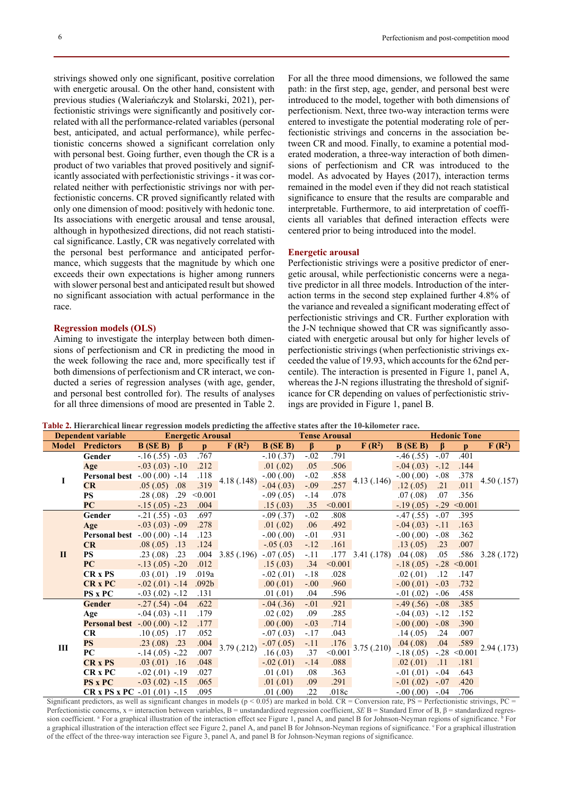strivings showed only one significant, positive correlation with energetic arousal. On the other hand, consistent with previous studies (Waleriańczyk and Stolarski, 2021), perfectionistic strivings were significantly and positively correlated with all the performance-related variables (personal best, anticipated, and actual performance), while perfectionistic concerns showed a significant correlation only with personal best. Going further, even though the CR is a product of two variables that proved positively and significantly associated with perfectionistic strivings - it was correlated neither with perfectionistic strivings nor with perfectionistic concerns. CR proved significantly related with only one dimension of mood: positively with hedonic tone. Its associations with energetic arousal and tense arousal, although in hypothesized directions, did not reach statistical significance. Lastly, CR was negatively correlated with the personal best performance and anticipated performance, which suggests that the magnitude by which one exceeds their own expectations is higher among runners with slower personal best and anticipated result but showed no significant association with actual performance in the race.

## **Regression models (OLS)**

Aiming to investigate the interplay between both dimensions of perfectionism and CR in predicting the mood in the week following the race and, more specifically test if both dimensions of perfectionism and CR interact, we conducted a series of regression analyses (with age, gender, and personal best controlled for). The results of analyses for all three dimensions of mood are presented in Table 2.

For all the three mood dimensions, we followed the same path: in the first step, age, gender, and personal best were introduced to the model, together with both dimensions of perfectionism. Next, three two-way interaction terms were entered to investigate the potential moderating role of perfectionistic strivings and concerns in the association between CR and mood. Finally, to examine a potential moderated moderation, a three-way interaction of both dimensions of perfectionism and CR was introduced to the model. As advocated by Hayes (2017), interaction terms remained in the model even if they did not reach statistical significance to ensure that the results are comparable and interpretable. Furthermore, to aid interpretation of coefficients all variables that defined interaction effects were centered prior to being introduced into the model.

#### **Energetic arousal**

Perfectionistic strivings were a positive predictor of energetic arousal, while perfectionistic concerns were a negative predictor in all three models. Introduction of the interaction terms in the second step explained further 4.8% of the variance and revealed a significant moderating effect of perfectionistic strivings and CR. Further exploration with the J-N technique showed that CR was significantly associated with energetic arousal but only for higher levels of perfectionistic strivings (when perfectionistic strivings exceeded the value of 19.93, which accounts for the 62nd percentile). The interaction is presented in Figure 1, panel A, whereas the J-N regions illustrating the threshold of significance for CR depending on values of perfectionistic strivings are provided in Figure 1, panel B.

 **Table 2. Hierarchical linear regression models predicting the affective states after the 10-kilometer race.** 

| <b>Dependent variable</b> |                                         | <b>Energetic Arousal</b> |              |                   | <b>Tense Arousal</b> |               |         |              | <b>Hedonic Tone</b> |                  |              |                |             |
|---------------------------|-----------------------------------------|--------------------------|--------------|-------------------|----------------------|---------------|---------|--------------|---------------------|------------------|--------------|----------------|-------------|
| <b>Model</b>              | <b>Predictors</b>                       | B(SE B)                  | $\mathbf{B}$ | $\mathbf{n}$      | $F(R^2)$             | $B$ (SE B)    | $\beta$ | $\mathbf{D}$ | $F(R^2)$            | $B$ (SE B)       | <sub>B</sub> | $\mathbf{D}$   | $F(R^2)$    |
| I                         | Gender                                  | $-.16(.55)$ $-.03$       |              | .767              | 4.18 (.148)          | $-.10(.37)$   | $-.02$  | .791         | 4.13 (.146)         | $-46(.55)$       | $-.07$       | .401           | 4.50(0.157) |
|                           | Age                                     | $-.03(.03)$ $-.10$       |              | .212              |                      | .01(.02)      | .05     | .506         |                     | $-.04(.03)$      | $-.12$       | .144           |             |
|                           | <b>Personal best</b> -.00 (.00) -.14    |                          |              | .118              |                      | $-0.00(0.00)$ | $-.02$  | .858         |                     | $-0.00(0.00)$    | $-.08$       | .378           |             |
|                           | CR                                      | .05(.05)                 | .08          | .319              |                      | $-0.04(0.03)$ | $-.09$  | .257         |                     | .12(0.05)        | .21          | .011           |             |
|                           | <b>PS</b>                               | .28(.08)                 | .29          | < 0.001           |                      | $-.09(.05)$   | $-.14$  | .078         |                     | .07(0.08)        | .07          | .356           |             |
|                           | PC                                      | $-.15(.05) - .23$        |              | .004              |                      | .15(.03)      | .35     | < 0.001      |                     | $-.19(.05)$      | $-.29$       | < 0.001        |             |
| $\mathbf{I}$              | <b>Gender</b>                           | $-.21(.55)$ $-.03$       |              | .697              |                      | $-.09(.37)$   | $-.02$  | .808         | 3.41(.178)          | $-47(0.55)$      | $-.07$       | .395           | 3.28(.172)  |
|                           | Age                                     | $-.03(.03)$ $-.09$       |              | .278              |                      | .01(.02)      | .06     | .492         |                     | $-.04(.03)$      | $-.11$       | .163           |             |
|                           | <b>Personal best</b> $-.00(.00)$ $-.14$ |                          |              | .123              |                      | $-0.00(0.00)$ | $-.01$  | .931         |                     | $-0.00(0.00)$    | $-.08$       | .362           |             |
|                           | CR                                      | .08(.05)                 | .13          | .124              |                      | $-.05(.03)$   | $-.12$  | .161         |                     | .13(0.05)        | .23          | .007           |             |
|                           | <b>PS</b>                               | .23(.08)                 | .23          | .004              | 3.85(.196)           | $-.07(.05)$   | $-.11$  | .177         |                     | .04(.08)         | .05          | .586           |             |
|                           | PC                                      | $-.13(.05)$ $-.20$       |              | .012              |                      | .15(.03)      | .34     | < 0.001      |                     | $-.18(.05)$      |              | $-.28 < 0.001$ |             |
|                           | <b>CR</b> <sub>x</sub> PS               | $.03(0.01)$ $.19$        |              | .019a             |                      | $-.02(.01)$   | $-.18$  | .028         |                     | .02(0.01)        | .12          | .147           |             |
|                           | <b>CR x PC</b>                          | $-.02(.01)$ $-.14$       |              | .092 <sub>b</sub> |                      | .00(0.01)     | $-.00$  | .960         |                     | $-.00(.01)$      | $-.03$       | .732           |             |
|                           | <b>PS</b> x PC                          | $-.03(.02)$ $-.12$       |              | .131              |                      | .01(0.01)     | .04     | .596         |                     | $-0.01(0.02)$    | $-.06$       | .458           |             |
| Ш                         | <b>Gender</b>                           | $-.27(.54)$ $-.04$       |              | .622              | 3.79(0.212)          | $-.04(.36)$   | $-.01$  | .921         | 3.75(.210)          | $-.49(.56)$      | $-.08$       | .385           | 2.94 (.173) |
|                           | Age                                     | $-.04(.03)$ $-.11$       |              | .179              |                      | .02(0.02)     | .09     | .285         |                     | $-.04(.03)$      | $-.12$       | .152           |             |
|                           | <b>Personal best</b> $-.00(.00)$ $-.12$ |                          |              | .177              |                      | .00(.00)      | $-.03$  | .714         |                     | $-.00(.00)$      | $-.08$       | .390           |             |
|                           | CR                                      | .10(.05)                 | .17          | .052              |                      | $-.07(.03)$   | $-.17$  | .043         |                     | .14(0.05)        | .24          | .007           |             |
|                           | <b>PS</b>                               | .23(.08)                 | .23          | .004              |                      | $-.07(.05)$   | $-.11$  | .176         |                     | .04(.08)         | .04          | .589           |             |
|                           | <b>PC</b>                               | $-.14(.05)$ $-.22$       |              | .007              |                      | .16(0.03)     | .37     | < 0.001      |                     | $-.18(.05)$      | $-.28$       | < 0.001        |             |
|                           | <b>CR x PS</b>                          | $.03(.01)$ .16           |              | .048              |                      | $-.02(.01)$   | $-14$   | .088         |                     | .02(0.01)        | .11          | .181           |             |
|                           | <b>CR</b> x PC                          | $-.02(.01)$ $-.19$       |              | .027              |                      | .01(0.01)     | .08     | .363         |                     | $-0.01(0.01)$    | $-.04$       | .643           |             |
|                           | <b>PS x PC</b>                          | $-.03(.02)$ $-.15$       |              | .065              |                      | .01(0.01)     | .09     | .291         |                     | $-0.01$ $(0.02)$ | $-.07$       | .420           |             |
|                           | CR x PS x PC $-.01$ $(.01)$ $-.15$      |                          |              | .095              |                      | .01(0.00)     | .22     | .018c        |                     | $-.00(.00)$      | $-.04$       | .706           |             |

Significant predictors, as well as significant changes in models ( $p < 0.05$ ) are marked in bold. CR = Conversion rate, PS = Perfectionistic strivings, PC = Perfectionistic concerns, x = interaction between variables, B = unstandardized regression coefficient, *SE* B = Standard Error of B, β = standardized regression coefficient. <sup>a</sup> For a graphical illustration of the interaction effect see Figure 1, panel A, and panel B for Johnson-Neyman regions of significance. <sup>b</sup> For a graphical illustration of the interaction effect see Figure 2, panel A, and panel B for Johnson-Neyman regions of significance. For a graphical illustration of the effect of the three-way interaction see Figure 3, panel A, and panel B for Johnson-Neyman regions of significance.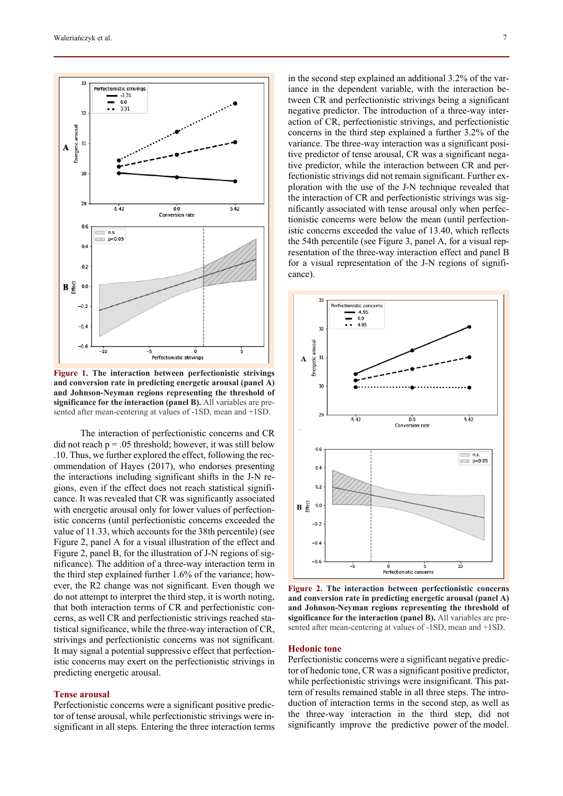

**Figure 1. The interaction between perfectionistic strivings and conversion rate in predicting energetic arousal (panel A) and Johnson-Neyman regions representing the threshold of significance for the interaction (panel B).** All variables are presented after mean-centering at values of -1SD, mean and +1SD.

The interaction of perfectionistic concerns and CR did not reach  $p = 0.05$  threshold; however, it was still below .10. Thus, we further explored the effect, following the recommendation of Hayes (2017), who endorses presenting the interactions including significant shifts in the J-N regions, even if the effect does not reach statistical significance. It was revealed that CR was significantly associated with energetic arousal only for lower values of perfectionistic concerns (until perfectionistic concerns exceeded the value of 11.33, which accounts for the 38th percentile) (see Figure 2, panel A for a visual illustration of the effect and Figure 2, panel B, for the illustration of J-N regions of significance). The addition of a three-way interaction term in the third step explained further 1.6% of the variance; however, the R2 change was not significant. Even though we do not attempt to interpret the third step, it is worth noting, that both interaction terms of CR and perfectionistic concerns, as well CR and perfectionistic strivings reached statistical significance, while the three-way interaction of CR, strivings and perfectionistic concerns was not significant. It may signal a potential suppressive effect that perfectionistic concerns may exert on the perfectionistic strivings in predicting energetic arousal.

#### **Tense arousal**

Perfectionistic concerns were a significant positive predictor of tense arousal, while perfectionistic strivings were insignificant in all steps. Entering the three interaction terms in the second step explained an additional 3.2% of the variance in the dependent variable, with the interaction between CR and perfectionistic strivings being a significant negative predictor. The introduction of a three-way interaction of CR, perfectionistic strivings, and perfectionistic concerns in the third step explained a further 3.2% of the variance. The three-way interaction was a significant positive predictor of tense arousal, CR was a significant negative predictor, while the interaction between CR and perfectionistic strivings did not remain significant. Further exploration with the use of the J-N technique revealed that the interaction of CR and perfectionistic strivings was significantly associated with tense arousal only when perfectionistic concerns were below the mean (until perfectionistic concerns exceeded the value of 13.40, which reflects the 54th percentile (see Figure 3, panel A, for a visual representation of the three-way interaction effect and panel B for a visual representation of the J-N regions of significance).



**Figure 2. The interaction between perfectionistic concerns and conversion rate in predicting energetic arousal (panel A) and Johnson-Neyman regions representing the threshold of significance for the interaction (panel B).** All variables are presented after mean-centering at values of -1SD, mean and +1SD.

#### **Hedonic tone**

Perfectionistic concerns were a significant negative predictor of hedonic tone, CR was a significant positive predictor, while perfectionistic strivings were insignificant. This pattern of results remained stable in all three steps. The introduction of interaction terms in the second step, as well as the three-way interaction in the third step, did not significantly improve the predictive power of the model.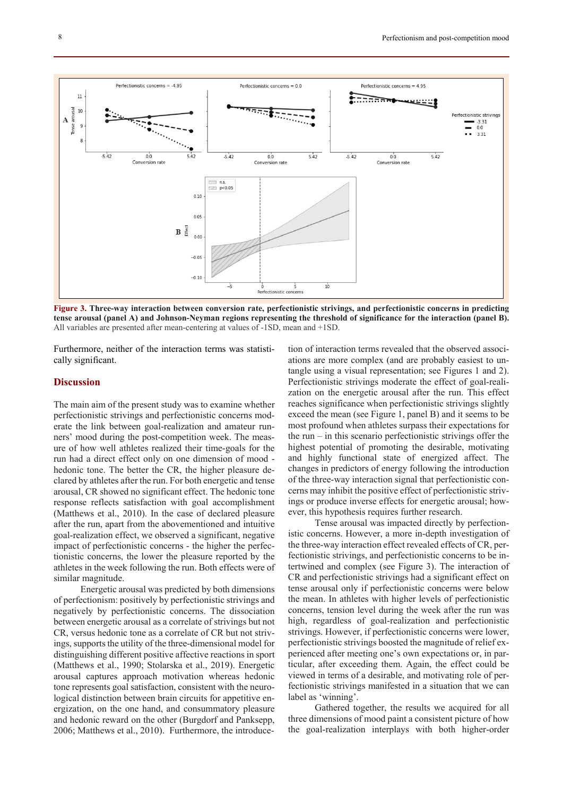

**Figure 3. Three-way interaction between conversion rate, perfectionistic strivings, and perfectionistic concerns in predicting tense arousal (panel A) and Johnson-Neyman regions representing the threshold of significance for the interaction (panel B).** All variables are presented after mean-centering at values of -1SD, mean and +1SD.

Furthermore, neither of the interaction terms was statistically significant.

# **Discussion**

The main aim of the present study was to examine whether perfectionistic strivings and perfectionistic concerns moderate the link between goal-realization and amateur runners' mood during the post-competition week. The measure of how well athletes realized their time-goals for the run had a direct effect only on one dimension of mood hedonic tone. The better the CR, the higher pleasure declared by athletes after the run. For both energetic and tense arousal, CR showed no significant effect. The hedonic tone response reflects satisfaction with goal accomplishment (Matthews et al., 2010). In the case of declared pleasure after the run, apart from the abovementioned and intuitive goal-realization effect, we observed a significant, negative impact of perfectionistic concerns - the higher the perfectionistic concerns, the lower the pleasure reported by the athletes in the week following the run. Both effects were of similar magnitude.

Energetic arousal was predicted by both dimensions of perfectionism: positively by perfectionistic strivings and negatively by perfectionistic concerns. The dissociation between energetic arousal as a correlate of strivings but not CR, versus hedonic tone as a correlate of CR but not strivings, supports the utility of the three-dimensional model for distinguishing different positive affective reactions in sport (Matthews et al., 1990; Stolarska et al., 2019). Energetic arousal captures approach motivation whereas hedonic tone represents goal satisfaction, consistent with the neurological distinction between brain circuits for appetitive energization, on the one hand, and consummatory pleasure and hedonic reward on the other (Burgdorf and Panksepp, 2006; Matthews et al., 2010). Furthermore, the introduce-

tion of interaction terms revealed that the observed associations are more complex (and are probably easiest to untangle using a visual representation; see Figures 1 and 2). Perfectionistic strivings moderate the effect of goal-realization on the energetic arousal after the run. This effect reaches significance when perfectionistic strivings slightly exceed the mean (see Figure 1, panel B) and it seems to be most profound when athletes surpass their expectations for the run  $-$  in this scenario perfectionistic strivings offer the highest potential of promoting the desirable, motivating and highly functional state of energized affect. The changes in predictors of energy following the introduction of the three-way interaction signal that perfectionistic concerns may inhibit the positive effect of perfectionistic strivings or produce inverse effects for energetic arousal; however, this hypothesis requires further research.

Tense arousal was impacted directly by perfectionistic concerns. However, a more in-depth investigation of the three-way interaction effect revealed effects of CR, perfectionistic strivings, and perfectionistic concerns to be intertwined and complex (see Figure 3). The interaction of CR and perfectionistic strivings had a significant effect on tense arousal only if perfectionistic concerns were below the mean. In athletes with higher levels of perfectionistic concerns, tension level during the week after the run was high, regardless of goal-realization and perfectionistic strivings. However, if perfectionistic concerns were lower, perfectionistic strivings boosted the magnitude of relief experienced after meeting one's own expectations or, in particular, after exceeding them. Again, the effect could be viewed in terms of a desirable, and motivating role of perfectionistic strivings manifested in a situation that we can label as 'winning'.

Gathered together, the results we acquired for all three dimensions of mood paint a consistent picture of how the goal-realization interplays with both higher-order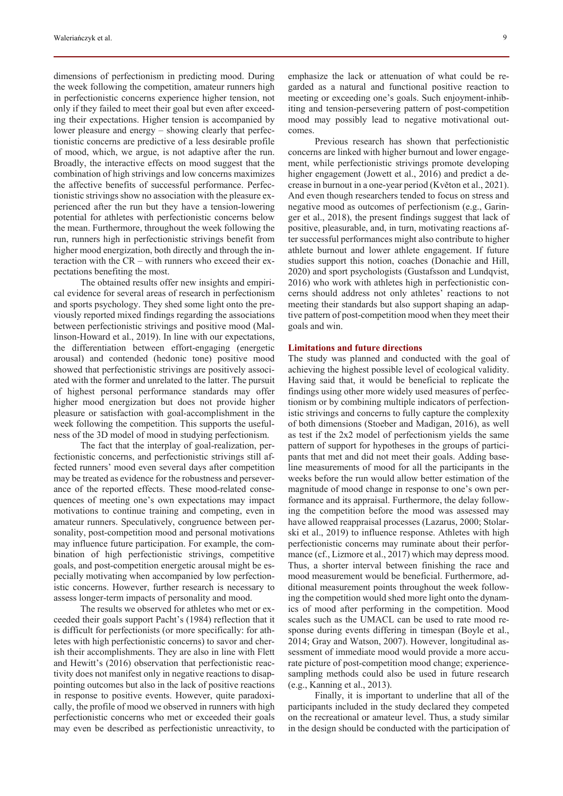dimensions of perfectionism in predicting mood. During the week following the competition, amateur runners high in perfectionistic concerns experience higher tension, not only if they failed to meet their goal but even after exceeding their expectations. Higher tension is accompanied by lower pleasure and energy – showing clearly that perfectionistic concerns are predictive of a less desirable profile of mood, which, we argue, is not adaptive after the run. Broadly, the interactive effects on mood suggest that the combination of high strivings and low concerns maximizes the affective benefits of successful performance. Perfectionistic strivings show no association with the pleasure experienced after the run but they have a tension-lowering potential for athletes with perfectionistic concerns below the mean. Furthermore, throughout the week following the run, runners high in perfectionistic strivings benefit from higher mood energization, both directly and through the interaction with the CR – with runners who exceed their expectations benefiting the most.

The obtained results offer new insights and empirical evidence for several areas of research in perfectionism and sports psychology. They shed some light onto the previously reported mixed findings regarding the associations between perfectionistic strivings and positive mood (Mallinson-Howard et al., 2019). In line with our expectations, the differentiation between effort-engaging (energetic arousal) and contended (hedonic tone) positive mood showed that perfectionistic strivings are positively associated with the former and unrelated to the latter. The pursuit of highest personal performance standards may offer higher mood energization but does not provide higher pleasure or satisfaction with goal-accomplishment in the week following the competition. This supports the usefulness of the 3D model of mood in studying perfectionism.

The fact that the interplay of goal-realization, perfectionistic concerns, and perfectionistic strivings still affected runners' mood even several days after competition may be treated as evidence for the robustness and perseverance of the reported effects. These mood-related consequences of meeting one's own expectations may impact motivations to continue training and competing, even in amateur runners. Speculatively, congruence between personality, post-competition mood and personal motivations may influence future participation. For example, the combination of high perfectionistic strivings, competitive goals, and post-competition energetic arousal might be especially motivating when accompanied by low perfectionistic concerns. However, further research is necessary to assess longer-term impacts of personality and mood.

The results we observed for athletes who met or exceeded their goals support Pacht's (1984) reflection that it is difficult for perfectionists (or more specifically: for athletes with high perfectionistic concerns) to savor and cherish their accomplishments. They are also in line with Flett and Hewitt's (2016) observation that perfectionistic reactivity does not manifest only in negative reactions to disappointing outcomes but also in the lack of positive reactions in response to positive events. However, quite paradoxically, the profile of mood we observed in runners with high perfectionistic concerns who met or exceeded their goals may even be described as perfectionistic unreactivity, to emphasize the lack or attenuation of what could be regarded as a natural and functional positive reaction to meeting or exceeding one's goals. Such enjoyment-inhib-

comes. Previous research has shown that perfectionistic concerns are linked with higher burnout and lower engagement, while perfectionistic strivings promote developing higher engagement (Jowett et al., 2016) and predict a decrease in burnout in a one-year period (Květon et al., 2021). And even though researchers tended to focus on stress and negative mood as outcomes of perfectionism (e.g., Garinger et al., 2018), the present findings suggest that lack of positive, pleasurable, and, in turn, motivating reactions after successful performances might also contribute to higher athlete burnout and lower athlete engagement. If future studies support this notion, coaches (Donachie and Hill, 2020) and sport psychologists (Gustafsson and Lundqvist, 2016) who work with athletes high in perfectionistic concerns should address not only athletes' reactions to not meeting their standards but also support shaping an adaptive pattern of post-competition mood when they meet their goals and win.

iting and tension-persevering pattern of post-competition mood may possibly lead to negative motivational out-

# **Limitations and future directions**

The study was planned and conducted with the goal of achieving the highest possible level of ecological validity. Having said that, it would be beneficial to replicate the findings using other more widely used measures of perfectionism or by combining multiple indicators of perfectionistic strivings and concerns to fully capture the complexity of both dimensions (Stoeber and Madigan, 2016), as well as test if the 2x2 model of perfectionism yields the same pattern of support for hypotheses in the groups of participants that met and did not meet their goals. Adding baseline measurements of mood for all the participants in the weeks before the run would allow better estimation of the magnitude of mood change in response to one's own performance and its appraisal. Furthermore, the delay following the competition before the mood was assessed may have allowed reappraisal processes (Lazarus, 2000; Stolarski et al., 2019) to influence response. Athletes with high perfectionistic concerns may ruminate about their performance (cf., Lizmore et al., 2017) which may depress mood. Thus, a shorter interval between finishing the race and mood measurement would be beneficial. Furthermore, additional measurement points throughout the week following the competition would shed more light onto the dynamics of mood after performing in the competition. Mood scales such as the UMACL can be used to rate mood response during events differing in timespan (Boyle et al., 2014; Gray and Watson, 2007). However, longitudinal assessment of immediate mood would provide a more accurate picture of post-competition mood change; experiencesampling methods could also be used in future research (e.g., Kanning et al., 2013).

Finally, it is important to underline that all of the participants included in the study declared they competed on the recreational or amateur level. Thus, a study similar in the design should be conducted with the participation of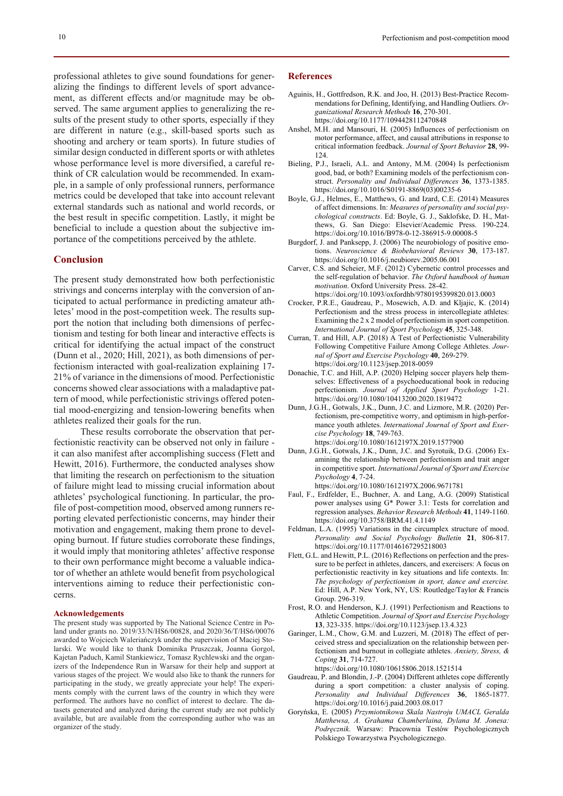professional athletes to give sound foundations for generalizing the findings to different levels of sport advancement, as different effects and/or magnitude may be observed. The same argument applies to generalizing the results of the present study to other sports, especially if they are different in nature (e.g., skill-based sports such as shooting and archery or team sports). In future studies of similar design conducted in different sports or with athletes whose performance level is more diversified, a careful rethink of CR calculation would be recommended. In example, in a sample of only professional runners, performance metrics could be developed that take into account relevant external standards such as national and world records, or the best result in specific competition. Lastly, it might be beneficial to include a question about the subjective importance of the competitions perceived by the athlete.

## **Conclusion**

The present study demonstrated how both perfectionistic strivings and concerns interplay with the conversion of anticipated to actual performance in predicting amateur athletes' mood in the post-competition week. The results support the notion that including both dimensions of perfectionism and testing for both linear and interactive effects is critical for identifying the actual impact of the construct (Dunn et al., 2020; Hill, 2021), as both dimensions of perfectionism interacted with goal-realization explaining 17- 21% of variance in the dimensions of mood. Perfectionistic concerns showed clear associations with a maladaptive pattern of mood, while perfectionistic strivings offered potential mood-energizing and tension-lowering benefits when athletes realized their goals for the run.

These results corroborate the observation that perfectionistic reactivity can be observed not only in failure it can also manifest after accomplishing success (Flett and Hewitt, 2016). Furthermore, the conducted analyses show that limiting the research on perfectionism to the situation of failure might lead to missing crucial information about athletes' psychological functioning. In particular, the profile of post-competition mood, observed among runners reporting elevated perfectionistic concerns, may hinder their motivation and engagement, making them prone to developing burnout. If future studies corroborate these findings, it would imply that monitoring athletes' affective response to their own performance might become a valuable indicator of whether an athlete would benefit from psychological interventions aiming to reduce their perfectionistic concerns.

#### **Acknowledgements**

The present study was supported by The National Science Centre in Poland under grants no. 2019/33/N/HS6/00828, and 2020/36/T/HS6/00076 awarded to Wojciech Waleriańczyk under the supervision of Maciej Stolarski. We would like to thank Dominika Pruszczak, Joanna Gorgol, Kajetan Paduch, Kamil Stankiewicz, Tomasz Rychlewski and the organizers of the Independence Run in Warsaw for their help and support at various stages of the project. We would also like to thank the runners for participating in the study, we greatly appreciate your help! The experiments comply with the current laws of the country in which they were performed. The authors have no conflict of interest to declare. The datasets generated and analyzed during the current study are not publicly available, but are available from the corresponding author who was an organizer of the study.

#### **References**

- Aguinis, H., Gottfredson, R.K. and Joo, H. (2013) Best-Practice Recommendations for Defining, Identifying, and Handling Outliers. *Organizational Research Methods* **16**, 270-301. https://doi.org/10.1177/1094428112470848
- Anshel, M.H. and Mansouri, H. (2005) Influences of perfectionism on motor performance, affect, and causal attributions in response to critical information feedback. *Journal of Sport Behavior* **28**, 99- 124.
- Bieling, P.J., Israeli, A.L. and Antony, M.M. (2004) Is perfectionism good, bad, or both? Examining models of the perfectionism construct. *Personality and Individual Differences* **36**, 1373-1385. https://doi.org/10.1016/S0191-8869(03)00235-6
- Boyle, G.J., Helmes, E., Matthews, G. and Izard, C.E. (2014) Measures of affect dimensions. In: *Measures of personality and social psychological constructs*. Ed: Boyle, G. J., Saklofske, D. H., Matthews, G. San Diego: Elsevier/Academic Press. 190-224. https://doi.org/10.1016/B978-0-12-386915-9.00008-5
- Burgdorf, J. and Panksepp, J. (2006) The neurobiology of positive emotions. *Neuroscience & Biobehavioral Reviews* **30**, 173-187. https://doi.org/10.1016/j.neubiorev.2005.06.001
- Carver, C.S. and Scheier, M.F. (2012) Cybernetic control processes and the self-regulation of behavior. *The Oxford handbook of human motivation*. Oxford University Press. 28-42. https://doi.org/10.1093/oxfordhb/9780195399820.013.0003
- Crocker, P.R.E., Gaudreau, P., Mosewich, A.D. and Kljajic, K. (2014) Perfectionism and the stress process in intercollegiate athletes: Examining the 2 x 2 model of perfectionism in sport competition. *International Journal of Sport Psychology* **45**, 325-348.
- Curran, T. and Hill, A.P. (2018) A Test of Perfectionistic Vulnerability Following Competitive Failure Among College Athletes. *Journal of Sport and Exercise Psychology* **40**, 269-279. https://doi.org/10.1123/jsep.2018-0059
- Donachie, T.C. and Hill, A.P. (2020) Helping soccer players help themselves: Effectiveness of a psychoeducational book in reducing perfectionism. *Journal of Applied Sport Psychology* 1-21. https://doi.org/10.1080/10413200.2020.1819472
- Dunn, J.G.H., Gotwals, J.K., Dunn, J.C. and Lizmore, M.R. (2020) Perfectionism, pre-competitive worry, and optimism in high-performance youth athletes. *International Journal of Sport and Exercise Psychology* **18**, 749-763. https://doi.org/10.1080/1612197X.2019.1577900
- Dunn, J.G.H., Gotwals, J.K., Dunn, J.C. and Syrotuik, D.G. (2006) Examining the relationship between perfectionism and trait anger in competitive sport. *International Journal of Sport and Exercise Psychology* **4**, 7-24. https://doi.org/10.1080/1612197X.2006.9671781
- Faul, F., Erdfelder, E., Buchner, A. and Lang, A.G. (2009) Statistical power analyses using G\* Power 3.1: Tests for correlation and regression analyses. *Behavior Research Methods* **41**, 1149-1160. https://doi.org/10.3758/BRM.41.4.1149
- Feldman, L.A. (1995) Variations in the circumplex structure of mood. *Personality and Social Psychology Bulletin* **21**, 806-817. https://doi.org/10.1177/0146167295218003
- Flett, G.L. and Hewitt, P.L. (2016) Reflections on perfection and the pressure to be perfect in athletes, dancers, and exercisers: A focus on perfectionistic reactivity in key situations and life contexts. In: *The psychology of perfectionism in sport, dance and exercise.* Ed: Hill, A.P. New York, NY, US: Routledge/Taylor & Francis Group. 296-319.
- Frost, R.O. and Henderson, K.J. (1991) Perfectionism and Reactions to Athletic Competition. *Journal of Sport and Exercise Psychology* **13**, 323-335. https://doi.org/10.1123/jsep.13.4.323
- Garinger, L.M., Chow, G.M. and Luzzeri, M. (2018) The effect of perceived stress and specialization on the relationship between perfectionism and burnout in collegiate athletes. *Anxiety, Stress, & Coping* **31**, 714-727.

https://doi.org/10.1080/10615806.2018.1521514

- Gaudreau, P. and Blondin, J.-P. (2004) Different athletes cope differently during a sport competition: a cluster analysis of coping. *Personality and Individual Differences* **36**, 1865-1877. https://doi.org/10.1016/j.paid.2003.08.017
- Goryńska, E. (2005) *Przymiotnikowa Skala Nastroju UMACL Geralda Matthewsa, A. Grahama Chamberlaina, Dylana M. Jonesa: Podręcznik*. Warsaw: Pracownia Testów Psychologicznych Polskiego Towarzystwa Psychologicznego.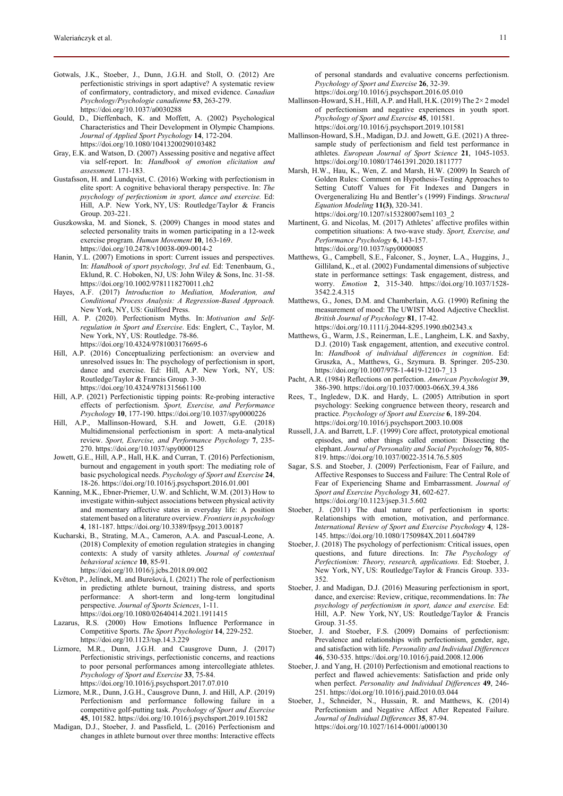- Gotwals, J.K., Stoeber, J., Dunn, J.G.H. and Stoll, O. (2012) Are perfectionistic strivings in sport adaptive? A systematic review of confirmatory, contradictory, and mixed evidence. *Canadian Psychology/Psychologie canadienne* **53**, 263-279. https://doi.org/10.1037/a0030288
- Gould, D., Dieffenbach, K. and Moffett, A. (2002) Psychological Characteristics and Their Development in Olympic Champions. *Journal of Applied Sport Psychology* **14**, 172-204. https://doi.org/10.1080/10413200290103482
- Gray, E.K. and Watson, D. (2007) Assessing positive and negative affect via self-report. In: *Handbook of emotion elicitation and assessment.* 171-183.
- Gustafsson, H. and Lundqvist, C. (2016) Working with perfectionism in elite sport: A cognitive behavioral therapy perspective. In: *The psychology of perfectionism in sport, dance and exercise.* Ed: Hill, A.P. New York, NY, US: Routledge/Taylor & Francis Group. 203-221.
- Guszkowska, M. and Sionek, S. (2009) Changes in mood states and selected personality traits in women participating in a 12-week exercise program. *Human Movement* **10**, 163-169. https://doi.org/10.2478/v10038-009-0014-2
- Hanin, Y.L. (2007) Emotions in sport: Current issues and perspectives. In: *Handbook of sport psychology, 3rd ed.* Ed: Tenenbaum, G., Eklund, R. C. Hoboken, NJ, US: John Wiley & Sons, Inc. 31-58. https://doi.org/10.1002/9781118270011.ch2
- Hayes, A.F. (2017) *Introduction to Mediation, Moderation, and Conditional Process Analysis: A Regression-Based Approach.* New York, NY, US: Guilford Press.
- Hill, A. P. (2020). Perfectionism Myths. In: *Motivation and Selfregulation in Sport and Exercise*. Eds: Englert, C., Taylor, M. New York, NY, US: Routledge. 78-86. https://doi.org/10.4324/9781003176695-6
- Hill, A.P. (2016) Conceptualizing perfectionism: an overview and unresolved issues In: The psychology of perfectionism in sport, dance and exercise. Ed: Hill, A.P. New York, NY, US: Routledge/Taylor & Francis Group. 3-30. https://doi.org/10.4324/9781315661100
- Hill, A.P. (2021) Perfectionistic tipping points: Re-probing interactive
- effects of perfectionism. *Sport, Exercise, and Performance Psychology* **10**, 177-190. https://doi.org/10.1037/spy0000226 Hill, A.P., Mallinson-Howard, S.H. and Jowett, G.E. (2018)
- Multidimensional perfectionism in sport: A meta-analytical review. *Sport, Exercise, and Performance Psychology* **7**, 235- 270. https://doi.org/10.1037/spy0000125
- Jowett, G.E., Hill, A.P., Hall, H.K. and Curran, T. (2016) Perfectionism, burnout and engagement in youth sport: The mediating role of basic psychological needs. *Psychology of Sport and Exercise* **24**, 18-26. https://doi.org/10.1016/j.psychsport.2016.01.001
- Kanning, M.K., Ebner-Priemer, U.W. and Schlicht, W.M. (2013) How to investigate within-subject associations between physical activity and momentary affective states in everyday life: A position statement based on a literature overview. *Frontiers in psychology* **4**, 181-187. https://doi.org/10.3389/fpsyg.2013.00187
- Kucharski, B., Strating, M.A., Cameron, A.A. and Pascual-Leone, A. (2018) Complexity of emotion regulation strategies in changing contexts: A study of varsity athletes. *Journal of contextual behavioral science* **10**, 85-91. https://doi.org/10.1016/j.jcbs.2018.09.002
- Květon, P., Jelínek, M. and Burešová, I. (2021) The role of perfectionism
- in predicting athlete burnout, training distress, and sports performance: A short-term and long-term longitudinal perspective. *Journal of Sports Sciences*, 1-11. https://doi.org/10.1080/02640414.2021.1911415
- Lazarus, R.S. (2000) How Emotions Influence Performance in Competitive Sports. *The Sport Psychologist* **14**, 229-252. https://doi.org/10.1123/tsp.14.3.229
- Lizmore, M.R., Dunn, J.G.H. and Causgrove Dunn, J. (2017) Perfectionistic strivings, perfectionistic concerns, and reactions to poor personal performances among intercollegiate athletes. *Psychology of Sport and Exercise* **33**, 75-84. https://doi.org/10.1016/j.psychsport.2017.07.010
- Lizmore, M.R., Dunn, J.G.H., Causgrove Dunn, J. and Hill, A.P. (2019) Perfectionism and performance following failure in a competitive golf-putting task. *Psychology of Sport and Exercise* **45**, 101582. https://doi.org/10.1016/j.psychsport.2019.101582
- Madigan, D.J., Stoeber, J. and Passfield, L. (2016) Perfectionism and changes in athlete burnout over three months: Interactive effects

of personal standards and evaluative concerns perfectionism. *Psychology of Sport and Exercise* **26**, 32-39.

https://doi.org/10.1016/j.psychsport.2016.05.010

- Mallinson-Howard, S.H., Hill, A.P. and Hall, H.K. (2019) The 2× 2 model of perfectionism and negative experiences in youth sport. *Psychology of Sport and Exercise* **45**, 101581.
	- https://doi.org/10.1016/j.psychsport.2019.101581
- Mallinson-Howard, S.H., Madigan, D.J. and Jowett, G.E. (2021) A threesample study of perfectionism and field test performance in athletes. *European Journal of Sport Science* **21**, 1045-1053. https://doi.org/10.1080/17461391.2020.1811777
- Marsh, H.W., Hau, K., Wen, Z. and Marsh, H.W. (2009) In Search of Golden Rules: Comment on Hypothesis-Testing Approaches to Setting Cutoff Values for Fit Indexes and Dangers in Overgeneralizing Hu and Bentler's (1999) Findings. *Structural Equation Modeling* **11(3)**, 320-341.
- https://doi.org/10.1207/s15328007sem1103\_2 Martinent, G. and Nicolas, M. (2017) Athletes' affective profiles within
- competition situations: A two-wave study. *Sport, Exercise, and Performance Psychology* **6**, 143-157. https://doi.org/10.1037/spy0000085
- Matthews, G., Campbell, S.E., Falconer, S., Joyner, L.A., Huggins, J., Gilliland, K., et al. (2002) Fundamental dimensions of subjective state in performance settings: Task engagement, distress, and worry. *Emotion* **2**, 315-340. https://doi.org/10.1037/1528- 3542.2.4.315
- Matthews, G., Jones, D.M. and Chamberlain, A.G. (1990) Refining the measurement of mood: The UWIST Mood Adjective Checklist. *British Journal of Psychology* **81**, 17-42. https://doi.org/10.1111/j.2044-8295.1990.tb02343.x
- Matthews, G., Warm, J.S., Reinerman, L.E., Langheim, L.K. and Saxby, D.J. (2010) Task engagement, attention, and executive control. In: *Handbook of individual differences in cognition*. Ed: Gruszka, A., Matthews, G., Szymura. B. Springer. 205-230. https://doi.org/10.1007/978-1-4419-1210-7\_13
- Pacht, A.R. (1984) Reflections on perfection. *American Psychologist* **39**, 386-390. https://doi.org/10.1037/0003-066X.39.4.386
- Rees, T., Ingledew, D.K. and Hardy, L. (2005) Attribution in sport psychology: Seeking congruence between theory, research and practice. *Psychology of Sport and Exercise* **6**, 189-204. https://doi.org/10.1016/j.psychsport.2003.10.008
- Russell, J.A. and Barrett, L.F. (1999) Core affect, prototypical emotional episodes, and other things called emotion: Dissecting the elephant. *Journal of Personality and Social Psychology* **76**, 805- 819. https://doi.org/10.1037/0022-3514.76.5.805
- Sagar, S.S. and Stoeber, J. (2009) Perfectionism, Fear of Failure, and Affective Responses to Success and Failure: The Central Role of Fear of Experiencing Shame and Embarrassment. *Journal of Sport and Exercise Psychology* **31**, 602-627. https://doi.org/10.1123/jsep.31.5.602
- Stoeber, J. (2011) The dual nature of perfectionism in sports: Relationships with emotion, motivation, and performance. *International Review of Sport and Exercise Psychology* **4**, 128- 145. https://doi.org/10.1080/1750984X.2011.604789
- Stoeber, J. (2018) The psychology of perfectionism: Critical issues, open questions, and future directions. In: *The Psychology of Perfectionism: Theory, research, applications.* Ed: Stoeber, J. New York, NY, US: Routledge/Taylor & Francis Group. 333- 352.
- Stoeber, J. and Madigan, D.J. (2016) Measuring perfectionism in sport, dance, and exercise: Review, critique, recommendations. In: *The psychology of perfectionism in sport, dance and exercise.* Ed: Hill, A.P. New York, NY, US: Routledge/Taylor & Francis Group. 31-55.
- Stoeber, J. and Stoeber, F.S. (2009) Domains of perfectionism: Prevalence and relationships with perfectionism, gender, age, and satisfaction with life. *Personality and Individual Differences* **46**, 530-535. https://doi.org/10.1016/j.paid.2008.12.006
- Stoeber, J. and Yang, H. (2010) Perfectionism and emotional reactions to perfect and flawed achievements: Satisfaction and pride only when perfect. *Personality and Individual Differences* **49**, 246- 251. https://doi.org/10.1016/j.paid.2010.03.044
- Stoeber, J., Schneider, N., Hussain, R. and Matthews, K. (2014) Perfectionism and Negative Affect After Repeated Failure. *Journal of Individual Differences* **35**, 87-94. https://doi.org/10.1027/1614-0001/a000130